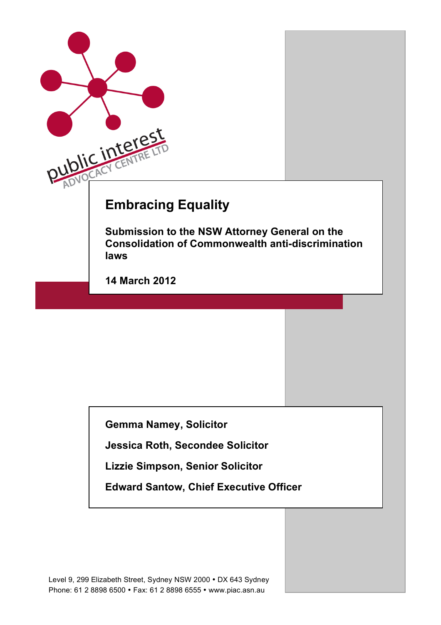

**Gemma Namey, Solicitor**

**Jessica Roth, Secondee Solicitor**

**Lizzie Simpson, Senior Solicitor** 

**Edward Santow, Chief Executive Officer**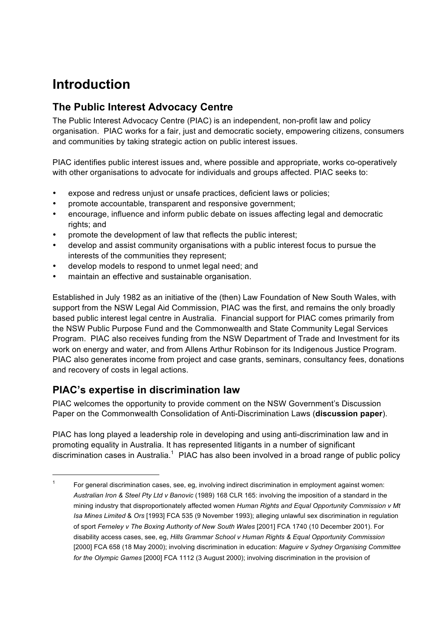## **Introduction**

### **The Public Interest Advocacy Centre**

The Public Interest Advocacy Centre (PIAC) is an independent, non-profit law and policy organisation. PIAC works for a fair, just and democratic society, empowering citizens, consumers and communities by taking strategic action on public interest issues.

PIAC identifies public interest issues and, where possible and appropriate, works co-operatively with other organisations to advocate for individuals and groups affected. PIAC seeks to:

- expose and redress unjust or unsafe practices, deficient laws or policies;
- promote accountable, transparent and responsive government;
- encourage, influence and inform public debate on issues affecting legal and democratic rights; and
- promote the development of law that reflects the public interest;
- develop and assist community organisations with a public interest focus to pursue the interests of the communities they represent;
- develop models to respond to unmet legal need; and
- maintain an effective and sustainable organisation.

Established in July 1982 as an initiative of the (then) Law Foundation of New South Wales, with support from the NSW Legal Aid Commission, PIAC was the first, and remains the only broadly based public interest legal centre in Australia. Financial support for PIAC comes primarily from the NSW Public Purpose Fund and the Commonwealth and State Community Legal Services Program. PIAC also receives funding from the NSW Department of Trade and Investment for its work on energy and water, and from Allens Arthur Robinson for its Indigenous Justice Program. PIAC also generates income from project and case grants, seminars, consultancy fees, donations and recovery of costs in legal actions.

### **PIAC's expertise in discrimination law**

PIAC welcomes the opportunity to provide comment on the NSW Government's Discussion Paper on the Commonwealth Consolidation of Anti-Discrimination Laws (**discussion paper**).

PIAC has long played a leadership role in developing and using anti-discrimination law and in promoting equality in Australia. It has represented litigants in a number of significant discrimination cases in Australia.<sup>1</sup> PIAC has also been involved in a broad range of public policy

 <sup>1</sup> For general discrimination cases, see, eg, involving indirect discrimination in employment against women: *Australian Iron & Steel Pty Ltd v Banovic* (1989) 168 CLR 165: involving the imposition of a standard in the mining industry that disproportionately affected women *Human Rights and Equal Opportunity Commission v Mt Isa Mines Limited* & *Ors* [1993] FCA 535 (9 November 1993); alleging unlawful sex discrimination in regulation of sport *Ferneley v The Boxing Authority of New South Wales* [2001] FCA 1740 (10 December 2001). For disability access cases, see, eg, *Hills Grammar School v Human Rights & Equal Opportunity Commission*  [2000] FCA 658 (18 May 2000); involving discrimination in education: *Maguire v Sydney Organising Committee for the Olympic Games* [2000] FCA 1112 (3 August 2000); involving discrimination in the provision of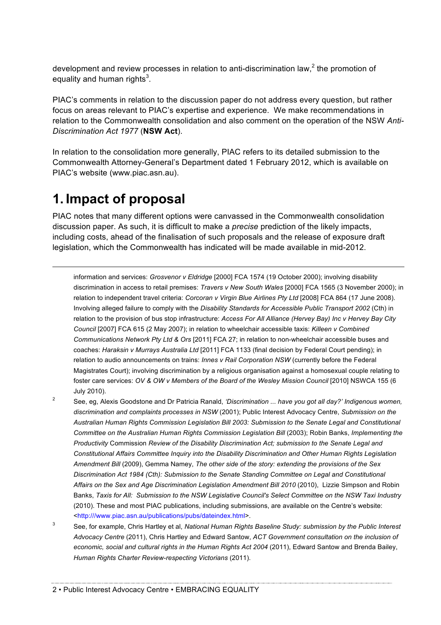development and review processes in relation to anti-discrimination law, $<sup>2</sup>$  the promotion of</sup> equality and human rights<sup>3</sup>.

PIAC's comments in relation to the discussion paper do not address every question, but rather focus on areas relevant to PIAC's expertise and experience. We make recommendations in relation to the Commonwealth consolidation and also comment on the operation of the NSW *Anti-Discrimination Act 1977* (**NSW Act**).

In relation to the consolidation more generally, PIAC refers to its detailed submission to the Commonwealth Attorney-General's Department dated 1 February 2012, which is available on PIAC's website (www.piac.asn.au).

### **1. Impact of proposal**

 $\overline{a}$ 

PIAC notes that many different options were canvassed in the Commonwealth consolidation discussion paper. As such, it is difficult to make a *precise* prediction of the likely impacts, including costs, ahead of the finalisation of such proposals and the release of exposure draft legislation, which the Commonwealth has indicated will be made available in mid-2012.

information and services: *Grosvenor v Eldridge* [2000] FCA 1574 (19 October 2000); involving disability discrimination in access to retail premises: *Travers v New South Wales* [2000] FCA 1565 (3 November 2000); in relation to independent travel criteria: *Corcoran v Virgin Blue Airlines Pty Ltd* [2008] FCA 864 (17 June 2008). Involving alleged failure to comply with the *Disability Standards for Accessible Public Transport 2002* (Cth) in relation to the provision of bus stop infrastructure: *Access For All Alliance (Hervey Bay) Inc v Hervey Bay City Council* [2007] FCA 615 (2 May 2007); in relation to wheelchair accessible taxis: *Killeen v Combined Communications Network Pty Ltd & Ors* [2011] FCA 27; in relation to non-wheelchair accessible buses and coaches: *Haraksin v Murrays Australia Ltd* [2011] FCA 1133 (final decision by Federal Court pending); in relation to audio announcements on trains: *Innes v Rail Corporation NSW* (currently before the Federal Magistrates Court); involving discrimination by a religious organisation against a homosexual couple relating to foster care services: *OV & OW v Members of the Board of the Wesley Mission Council* [2010] NSWCA 155 (6 July 2010).

- <sup>2</sup> See, eg, Alexis Goodstone and Dr Patricia Ranald, *'Discrimination ... have you got all day?' Indigenous women, discrimination and complaints processes in NSW* (2001); Public Interest Advocacy Centre, *Submission on the Australian Human Rights Commission Legislation Bill 2003: Submission to the Senate Legal and Constitutional Committee on the Australian Human Rights Commission Legislation Bill* (2003); Robin Banks, *Implementing the Productivity* Commission *Review of the Disability Discrimination Act; submission to the Senate Legal and Constitutional Affairs Committee Inquiry into the Disability Discrimination and Other Human Rights Legislation Amendment Bill* (2009), Gemma Namey, *The other side of the story: extending the provisions of the Sex Discrimination Act 1984 (Cth): Submission to the Senate Standing Committee on Legal and Constitutional Affairs on the Sex and Age Discrimination Legislation Amendment Bill 2010* (2010), Lizzie Simpson and Robin Banks, *Taxis for All: Submission to the NSW Legislative Council's Select Committee on the NSW Taxi Industry* (2010). These and most PIAC publications, including submissions, are available on the Centre's website: <http:///www.piac.asn.au/publications/pubs/dateindex.html>.
- <sup>3</sup> See, for example, Chris Hartley et al, *National Human Rights Baseline Study: submission by the Public Interest Advocacy Centre* (2011), Chris Hartley and Edward Santow, *ACT Government consultation on the inclusion of*  economic, social and cultural rights in the Human Rights Act 2004 (2011), Edward Santow and Brenda Bailey, *Human Rights Charter Review-respecting Victorians* (2011).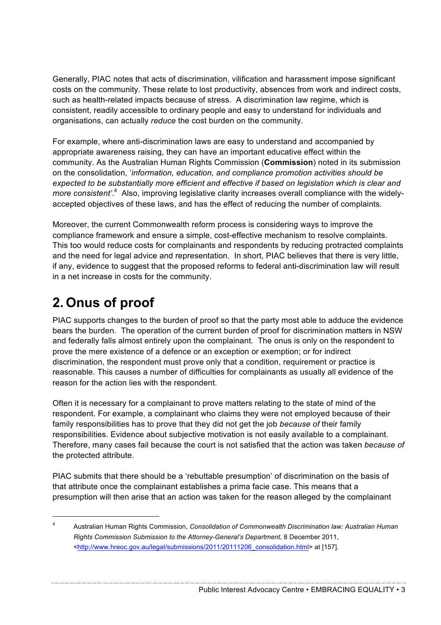Generally, PIAC notes that acts of discrimination, vilification and harassment impose significant costs on the community. These relate to lost productivity, absences from work and indirect costs, such as health-related impacts because of stress. A discrimination law regime, which is consistent, readily accessible to ordinary people and easy to understand for individuals and organisations, can actually *reduce* the cost burden on the community.

For example, where anti-discrimination laws are easy to understand and accompanied by appropriate awareness raising, they can have an important educative effect within the community. As the Australian Human Rights Commission (**Commission**) noted in its submission on the consolidation, '*information, education, and compliance promotion activities should be expected to be substantially more efficient and effective if based on legislation which is clear and*  more consistent'.<sup>4</sup> Also, improving legislative clarity increases overall compliance with the widelyaccepted objectives of these laws, and has the effect of reducing the number of complaints.

Moreover, the current Commonwealth reform process is considering ways to improve the compliance framework and ensure a simple, cost-effective mechanism to resolve complaints. This too would reduce costs for complainants and respondents by reducing protracted complaints and the need for legal advice and representation. In short, PIAC believes that there is very little, if any, evidence to suggest that the proposed reforms to federal anti-discrimination law will result in a net increase in costs for the community.

# **2. Onus of proof**

PIAC supports changes to the burden of proof so that the party most able to adduce the evidence bears the burden. The operation of the current burden of proof for discrimination matters in NSW and federally falls almost entirely upon the complainant. The onus is only on the respondent to prove the mere existence of a defence or an exception or exemption; or for indirect discrimination, the respondent must prove only that a condition, requirement or practice is reasonable. This causes a number of difficulties for complainants as usually all evidence of the reason for the action lies with the respondent.

Often it is necessary for a complainant to prove matters relating to the state of mind of the respondent. For example, a complainant who claims they were not employed because of their family responsibilities has to prove that they did not get the job *because of* their family responsibilities. Evidence about subjective motivation is not easily available to a complainant. Therefore, many cases fail because the court is not satisfied that the action was taken *because of*  the protected attribute.

PIAC submits that there should be a 'rebuttable presumption' of discrimination on the basis of that attribute once the complainant establishes a prima facie case. This means that a presumption will then arise that an action was taken for the reason alleged by the complainant

 <sup>4</sup> Australian Human Rights Commission, *Consolidation of Commonwealth Discrimination law: Australian Human Rights Commission Submission to the Attorney-General's Department,* 8 December 2011, <http://www.hreoc.gov.au/legal/submissions/2011/20111206\_consolidation.html> at [157].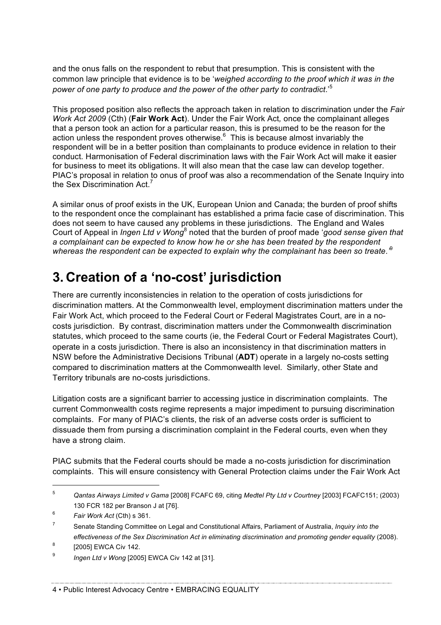and the onus falls on the respondent to rebut that presumption. This is consistent with the common law principle that evidence is to be '*weighed according to the proof which it was in the power of one party to produce and the power of the other party to contradict*.' 5

This proposed position also reflects the approach taken in relation to discrimination under the *Fair Work Act 2009* (Cth) (**Fair Work Act**). Under the Fair Work Act*,* once the complainant alleges that a person took an action for a particular reason, this is presumed to be the reason for the action unless the respondent proves otherwise.<sup>6</sup> This is because almost invariably the respondent will be in a better position than complainants to produce evidence in relation to their conduct. Harmonisation of Federal discrimination laws with the Fair Work Act will make it easier for business to meet its obligations. It will also mean that the case law can develop together. PIAC's proposal in relation to onus of proof was also a recommendation of the Senate Inquiry into the Sex Discrimination Act.<sup>7</sup>

A similar onus of proof exists in the UK, European Union and Canada; the burden of proof shifts to the respondent once the complainant has established a prima facie case of discrimination. This does not seem to have caused any problems in these jurisdictions. The England and Wales Court of Appeal in *Ingen Ltd v Wong*<sup>8</sup> noted that the burden of proof made '*good sense given that a complainant can be expected to know how he or she has been treated by the respondent whereas the respondent can be expected to explain why the complainant has been so treate.'*<sup>9</sup>

## **3. Creation of a 'no-cost' jurisdiction**

There are currently inconsistencies in relation to the operation of costs jurisdictions for discrimination matters. At the Commonwealth level, employment discrimination matters under the Fair Work Act, which proceed to the Federal Court or Federal Magistrates Court, are in a nocosts jurisdiction. By contrast, discrimination matters under the Commonwealth discrimination statutes, which proceed to the same courts (ie, the Federal Court or Federal Magistrates Court), operate in a costs jurisdiction. There is also an inconsistency in that discrimination matters in NSW before the Administrative Decisions Tribunal (**ADT**) operate in a largely no-costs setting compared to discrimination matters at the Commonwealth level. Similarly, other State and Territory tribunals are no-costs jurisdictions.

Litigation costs are a significant barrier to accessing justice in discrimination complaints. The current Commonwealth costs regime represents a major impediment to pursuing discrimination complaints. For many of PIAC's clients, the risk of an adverse costs order is sufficient to dissuade them from pursing a discrimination complaint in the Federal courts, even when they have a strong claim.

PIAC submits that the Federal courts should be made a no-costs jurisdiction for discrimination complaints. This will ensure consistency with General Protection claims under the Fair Work Act

 <sup>5</sup> *Qantas Airways Limited v Gama* [2008] FCAFC 69, citing *Medtel Pty Ltd v Courtney* [2003] FCAFC151; (2003) 130 FCR 182 per Branson J at [76].

<sup>6</sup> *Fair Work Act* (Cth) s 361.

<sup>7</sup> Senate Standing Committee on Legal and Constitutional Affairs, Parliament of Australia, *Inquiry into the*  effectiveness of the Sex Discrimination Act in eliminating discrimination and promoting gender equality (2008).

 $8$  [2005] EWCA Civ 142.

<sup>9</sup> *Ingen Ltd v Wong* [2005] EWCA Civ 142 at [31].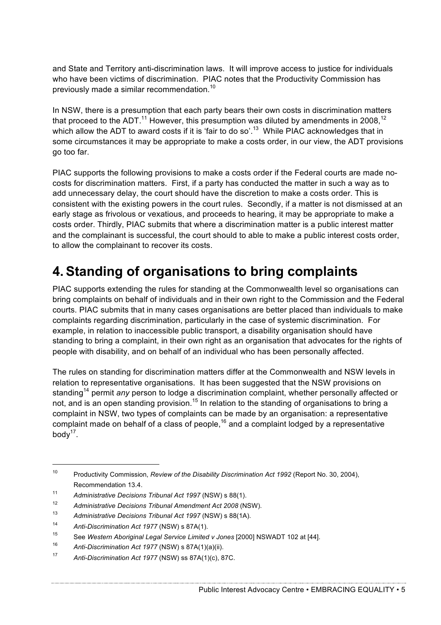and State and Territory anti-discrimination laws. It will improve access to justice for individuals who have been victims of discrimination. PIAC notes that the Productivity Commission has previously made a similar recommendation.<sup>10</sup>

In NSW, there is a presumption that each party bears their own costs in discrimination matters that proceed to the ADT.<sup>11</sup> However, this presumption was diluted by amendments in 2008,<sup>12</sup> which allow the ADT to award costs if it is 'fair to do so'.<sup>13</sup> While PIAC acknowledges that in some circumstances it may be appropriate to make a costs order, in our view, the ADT provisions go too far.

PIAC supports the following provisions to make a costs order if the Federal courts are made nocosts for discrimination matters. First, if a party has conducted the matter in such a way as to add unnecessary delay, the court should have the discretion to make a costs order. This is consistent with the existing powers in the court rules. Secondly, if a matter is not dismissed at an early stage as frivolous or vexatious, and proceeds to hearing, it may be appropriate to make a costs order. Thirdly, PIAC submits that where a discrimination matter is a public interest matter and the complainant is successful, the court should to able to make a public interest costs order, to allow the complainant to recover its costs.

## **4.Standing of organisations to bring complaints**

PIAC supports extending the rules for standing at the Commonwealth level so organisations can bring complaints on behalf of individuals and in their own right to the Commission and the Federal courts. PIAC submits that in many cases organisations are better placed than individuals to make complaints regarding discrimination, particularly in the case of systemic discrimination. For example, in relation to inaccessible public transport, a disability organisation should have standing to bring a complaint, in their own right as an organisation that advocates for the rights of people with disability, and on behalf of an individual who has been personally affected.

The rules on standing for discrimination matters differ at the Commonwealth and NSW levels in relation to representative organisations. It has been suggested that the NSW provisions on standing<sup>14</sup> permit *any* person to lodge a discrimination complaint, whether personally affected or not, and is an open standing provision.<sup>15</sup> In relation to the standing of organisations to bring a complaint in NSW, two types of complaints can be made by an organisation: a representative complaint made on behalf of a class of people,<sup>16</sup> and a complaint lodged by a representative body $17$ .

 <sup>10</sup> Productivity Commission, *Review of the Disability Discrimination Act 1992* (Report No. 30, 2004), Recommendation 13.4.

<sup>11</sup> *Administrative Decisions Tribunal Act 1997* (NSW) s 88(1).

<sup>12</sup> *Administrative Decisions Tribunal Amendment Act 2008* (NSW).

<sup>13</sup> *Administrative Decisions Tribunal Act 1997* (NSW) s 88(1A).

<sup>14</sup> *Anti-Discrimination Act 1977* (NSW) s 87A(1).

<sup>15</sup> See *Western Aboriginal Legal Service Limited v Jones* [2000] NSWADT 102 at [44].

<sup>16</sup> *Anti-Discrimination Act 1977* (NSW) s 87A(1)(a)(ii).

<sup>17</sup> *Anti-Discrimination Act 1977* (NSW) ss 87A(1)(c), 87C.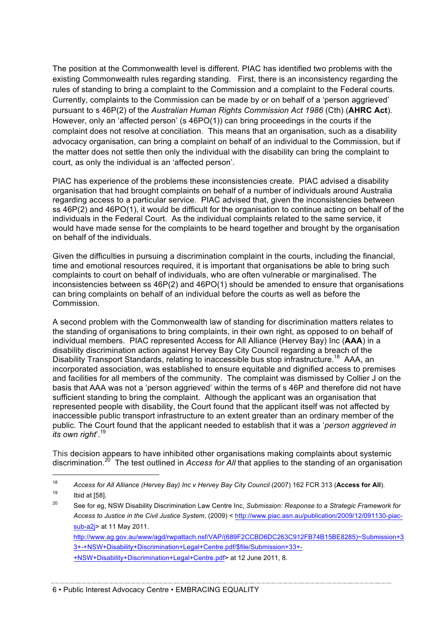The position at the Commonwealth level is different. PIAC has identified two problems with the existing Commonwealth rules regarding standing. First, there is an inconsistency regarding the rules of standing to bring a complaint to the Commission and a complaint to the Federal courts. Currently, complaints to the Commission can be made by or on behalf of a 'person aggrieved' pursuant to s 46P(2) of the *Australian Human Rights Commission Act 1986* (Cth) (**AHRC Act**). However, only an 'affected person' (s 46PO(1)) can bring proceedings in the courts if the complaint does not resolve at conciliation. This means that an organisation, such as a disability advocacy organisation, can bring a complaint on behalf of an individual to the Commission, but if the matter does not settle then only the individual with the disability can bring the complaint to court, as only the individual is an 'affected person'.

PIAC has experience of the problems these inconsistencies create. PIAC advised a disability organisation that had brought complaints on behalf of a number of individuals around Australia regarding access to a particular service. PIAC advised that, given the inconsistencies between ss 46P(2) and 46PO(1), it would be difficult for the organisation to continue acting on behalf of the individuals in the Federal Court. As the individual complaints related to the same service, it would have made sense for the complaints to be heard together and brought by the organisation on behalf of the individuals.

Given the difficulties in pursuing a discrimination complaint in the courts, including the financial, time and emotional resources required, it is important that organisations be able to bring such complaints to court on behalf of individuals, who are often vulnerable or marginalised. The inconsistencies between ss 46P(2) and 46PO(1) should be amended to ensure that organisations can bring complaints on behalf of an individual before the courts as well as before the Commission.

A second problem with the Commonwealth law of standing for discrimination matters relates to the standing of organisations to bring complaints, in their own right, as opposed to on behalf of individual members. PIAC represented Access for All Alliance (Hervey Bay) Inc (**AAA**) in a disability discrimination action against Hervey Bay City Council regarding a breach of the Disability Transport Standards, relating to inaccessible bus stop infrastructure.<sup>18</sup> AAA, an incorporated association, was established to ensure equitable and dignified access to premises and facilities for all members of the community. The complaint was dismissed by Collier J on the basis that AAA was not a 'person aggrieved' within the terms of s 46P and therefore did not have sufficient standing to bring the complaint. Although the applicant was an organisation that represented people with disability, the Court found that the applicant itself was not affected by inaccessible public transport infrastructure to an extent greater than an ordinary member of the public. The Court found that the applicant needed to establish that it was a '*person aggrieved in its own right*'. 19

This decision appears to have inhibited other organisations making complaints about systemic discrimination.20 The test outlined in *Access for All* that applies to the standing of an organisation

http://www.ag.gov.au/www/agd/rwpattach.nsf/VAP/(689F2CCBD6DC263C912FB74B15BE8285)~Submission+3 3+-+NSW+Disability+Discrimination+Legal+Centre.pdf/\$file/Submission+33+- +NSW+Disability+Discrimination+Legal+Centre.pdf> at 12 June 2011, 8.

 <sup>18</sup> *Access for All Alliance (Hervey Bay) Inc v Hervey Bay City Council* (2007) 162 FCR 313 (**Access for All**).  $19$  Ibid at [58].

<sup>20</sup> See for eg, NSW Disability Discrimination Law Centre Inc, *Submission: Response to a Strategic Framework for Access to Justice in the Civil Justice System*, (2009) < http://www.piac.asn.au/publication/2009/12/091130-piacsub-a2j> at 11 May 2011.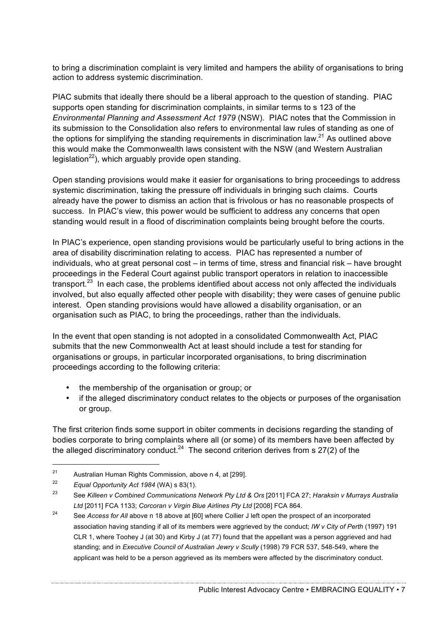to bring a discrimination complaint is very limited and hampers the ability of organisations to bring action to address systemic discrimination.

PIAC submits that ideally there should be a liberal approach to the question of standing. PIAC supports open standing for discrimination complaints, in similar terms to s 123 of the *Environmental Planning and Assessment Act 1979* (NSW). PIAC notes that the Commission in its submission to the Consolidation also refers to environmental law rules of standing as one of the options for simplifying the standing requirements in discrimination law.<sup>21</sup> As outlined above this would make the Commonwealth laws consistent with the NSW (and Western Australian legislation<sup>22</sup>), which arguably provide open standing.

Open standing provisions would make it easier for organisations to bring proceedings to address systemic discrimination, taking the pressure off individuals in bringing such claims. Courts already have the power to dismiss an action that is frivolous or has no reasonable prospects of success. In PIAC's view, this power would be sufficient to address any concerns that open standing would result in a flood of discrimination complaints being brought before the courts.

In PIAC's experience, open standing provisions would be particularly useful to bring actions in the area of disability discrimination relating to access. PIAC has represented a number of individuals, who at great personal cost – in terms of time, stress and financial risk – have brought proceedings in the Federal Court against public transport operators in relation to inaccessible transport. $23$  In each case, the problems identified about access not only affected the individuals involved, but also equally affected other people with disability; they were cases of genuine public interest. Open standing provisions would have allowed a disability organisation, or an organisation such as PIAC, to bring the proceedings, rather than the individuals.

In the event that open standing is not adopted in a consolidated Commonwealth Act, PIAC submits that the new Commonwealth Act at least should include a test for standing for organisations or groups, in particular incorporated organisations, to bring discrimination proceedings according to the following criteria:

- the membership of the organisation or group; or
- if the alleged discriminatory conduct relates to the objects or purposes of the organisation or group.

The first criterion finds some support in obiter comments in decisions regarding the standing of bodies corporate to bring complaints where all (or some) of its members have been affected by the alleged discriminatory conduct.<sup>24</sup> The second criterion derives from s  $27(2)$  of the

 <sup>21</sup> Australian Human Rights Commission, above n 4, at [299].

<sup>22</sup> *Equal Opportunity Act 1984* (WA) s 83(1).

<sup>23</sup> See *Killeen v Combined Communications Network Pty Ltd & Ors* [2011] FCA 27; *Haraksin v Murrays Australia Ltd* [2011] FCA 1133; *Corcoran v Virgin Blue Airlines Pty Ltd* [2008] FCA 864.

<sup>&</sup>lt;sup>24</sup> See *Access for All* above n 18 above at [60] where Collier J left open the prospect of an incorporated association having standing if all of its members were aggrieved by the conduct; *IW v City of Perth* (1997) 191 CLR 1, where Toohey J (at 30) and Kirby J (at 77) found that the appellant was a person aggrieved and had standing; and in *Executive Council of Australian Jewry v Scully* (1998) 79 FCR 537, 548-549, where the applicant was held to be a person aggrieved as its members were affected by the discriminatory conduct.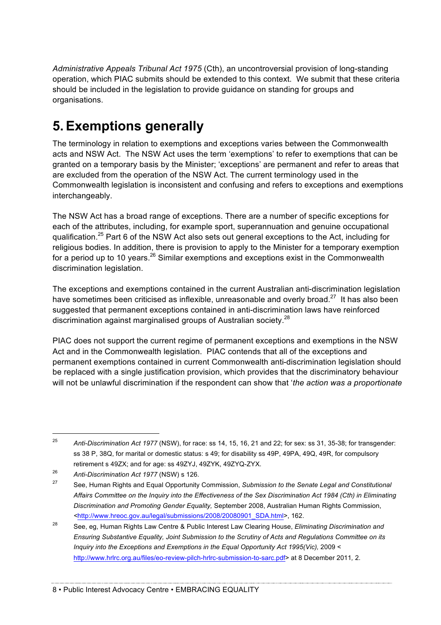*Administrative Appeals Tribunal Act 1975* (Cth), an uncontroversial provision of long-standing operation, which PIAC submits should be extended to this context. We submit that these criteria should be included in the legislation to provide guidance on standing for groups and organisations.

# **5.Exemptions generally**

The terminology in relation to exemptions and exceptions varies between the Commonwealth acts and NSW Act. The NSW Act uses the term 'exemptions' to refer to exemptions that can be granted on a temporary basis by the Minister; 'exceptions' are permanent and refer to areas that are excluded from the operation of the NSW Act. The current terminology used in the Commonwealth legislation is inconsistent and confusing and refers to exceptions and exemptions interchangeably.

The NSW Act has a broad range of exceptions. There are a number of specific exceptions for each of the attributes, including, for example sport, superannuation and genuine occupational qualification.<sup>25</sup> Part 6 of the NSW Act also sets out general exceptions to the Act, including for religious bodies. In addition, there is provision to apply to the Minister for a temporary exemption for a period up to 10 years.<sup>26</sup> Similar exemptions and exceptions exist in the Commonwealth discrimination legislation.

The exceptions and exemptions contained in the current Australian anti-discrimination legislation have sometimes been criticised as inflexible, unreasonable and overly broad.<sup>27</sup> It has also been suggested that permanent exceptions contained in anti-discrimination laws have reinforced discrimination against marginalised groups of Australian society.<sup>28</sup>

PIAC does not support the current regime of permanent exceptions and exemptions in the NSW Act and in the Commonwealth legislation. PIAC contends that all of the exceptions and permanent exemptions contained in current Commonwealth anti-discrimination legislation should be replaced with a single justification provision, which provides that the discriminatory behaviour will not be unlawful discrimination if the respondent can show that '*the action was a proportionate* 

 <sup>25</sup> *Anti-Discrimination Act 1977* (NSW), for race: ss 14, 15, 16, 21 and 22; for sex: ss 31, 35-38; for transgender: ss 38 P, 38Q, for marital or domestic status: s 49; for disability ss 49P, 49PA, 49Q, 49R, for compulsory retirement s 49ZX; and for age: ss 49ZYJ, 49ZYK, 49ZYQ-ZYX.

<sup>26</sup> *Anti-Discrimination Act 1977* (NSW) s 126.

<sup>27</sup> See, Human Rights and Equal Opportunity Commission, *Submission to the Senate Legal and Constitutional Affairs Committee on the Inquiry into the Effectiveness of the Sex Discrimination Act 1984 (Cth) in Eliminating Discrimination and Promoting Gender Equality,* September 2008, Australian Human Rights Commission, *<*http://www.hreoc.gov.au/legal/submissions/2008/20080901\_SDA.html>, 162.

<sup>28</sup> See, eg, Human Rights Law Centre & Public Interest Law Clearing House, *Eliminating Discrimination and Ensuring Substantive Equality, Joint Submission to the Scrutiny of Acts and Regulations Committee on its Inquiry into the Exceptions and Exemptions in the Equal Opportunity Act 1995(Vic),* 2009 < http://www.hrlrc.org.au/files/eo-review-pilch-hrlrc-submission-to-sarc.pdf> at 8 December 2011*,* 2*.*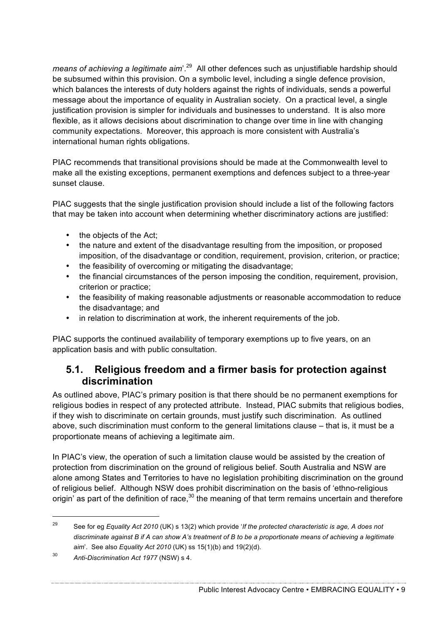*means of achieving a legitimate aim*'.29 All other defences such as unjustifiable hardship should be subsumed within this provision. On a symbolic level, including a single defence provision, which balances the interests of duty holders against the rights of individuals, sends a powerful message about the importance of equality in Australian society. On a practical level, a single justification provision is simpler for individuals and businesses to understand. It is also more flexible, as it allows decisions about discrimination to change over time in line with changing community expectations. Moreover, this approach is more consistent with Australia's international human rights obligations.

PIAC recommends that transitional provisions should be made at the Commonwealth level to make all the existing exceptions, permanent exemptions and defences subject to a three-year sunset clause.

PIAC suggests that the single justification provision should include a list of the following factors that may be taken into account when determining whether discriminatory actions are justified:

- the objects of the Act:
- the nature and extent of the disadvantage resulting from the imposition, or proposed imposition, of the disadvantage or condition, requirement, provision, criterion, or practice;
- the feasibility of overcoming or mitigating the disadvantage:
- the financial circumstances of the person imposing the condition, requirement, provision, criterion or practice;
- the feasibility of making reasonable adjustments or reasonable accommodation to reduce the disadvantage; and
- in relation to discrimination at work, the inherent requirements of the job.

PIAC supports the continued availability of temporary exemptions up to five years, on an application basis and with public consultation.

#### **5.1. Religious freedom and a firmer basis for protection against discrimination**

As outlined above, PIAC's primary position is that there should be no permanent exemptions for religious bodies in respect of any protected attribute. Instead, PIAC submits that religious bodies, if they wish to discriminate on certain grounds, must justify such discrimination. As outlined above, such discrimination must conform to the general limitations clause – that is, it must be a proportionate means of achieving a legitimate aim.

In PIAC's view, the operation of such a limitation clause would be assisted by the creation of protection from discrimination on the ground of religious belief. South Australia and NSW are alone among States and Territories to have no legislation prohibiting discrimination on the ground of religious belief. Although NSW does prohibit discrimination on the basis of 'ethno-religious origin' as part of the definition of race, $30$  the meaning of that term remains uncertain and therefore

 <sup>29</sup> See for eg *Equality Act 2010* (UK) s 13(2) which provide '*If the protected characteristic is age, A does not discriminate against B if A can show A's treatment of B to be a proportionate means of achieving a legitimate aim*'. See also *Equality Act 2010* (UK) ss 15(1)(b) and 19(2)(d).

<sup>30</sup> *Anti-Discrimination Act 1977* (NSW) s 4.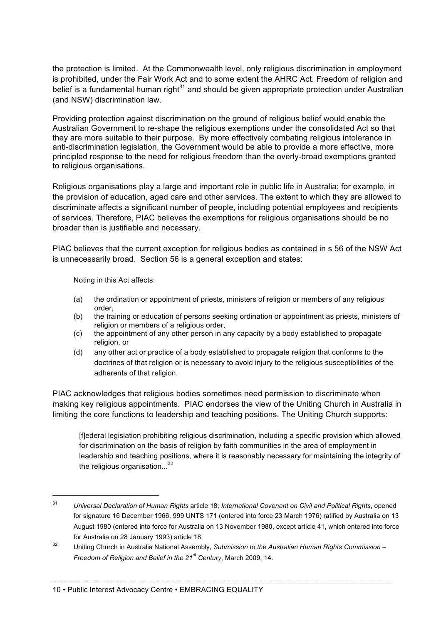the protection is limited. At the Commonwealth level, only religious discrimination in employment is prohibited, under the Fair Work Act and to some extent the AHRC Act. Freedom of religion and belief is a fundamental human right $31$  and should be given appropriate protection under Australian (and NSW) discrimination law.

Providing protection against discrimination on the ground of religious belief would enable the Australian Government to re-shape the religious exemptions under the consolidated Act so that they are more suitable to their purpose. By more effectively combating religious intolerance in anti-discrimination legislation, the Government would be able to provide a more effective, more principled response to the need for religious freedom than the overly-broad exemptions granted to religious organisations.

Religious organisations play a large and important role in public life in Australia; for example, in the provision of education, aged care and other services. The extent to which they are allowed to discriminate affects a significant number of people, including potential employees and recipients of services. Therefore, PIAC believes the exemptions for religious organisations should be no broader than is justifiable and necessary.

PIAC believes that the current exception for religious bodies as contained in s 56 of the NSW Act is unnecessarily broad. Section 56 is a general exception and states:

Noting in this Act affects:

- (a) the ordination or appointment of priests, ministers of religion or members of any religious order,
- (b) the training or education of persons seeking ordination or appointment as priests, ministers of religion or members of a religious order.
- (c) the appointment of any other person in any capacity by a body established to propagate religion, or
- (d) any other act or practice of a body established to propagate religion that conforms to the doctrines of that religion or is necessary to avoid injury to the religious susceptibilities of the adherents of that religion.

PIAC acknowledges that religious bodies sometimes need permission to discriminate when making key religious appointments. PIAC endorses the view of the Uniting Church in Australia in limiting the core functions to leadership and teaching positions. The Uniting Church supports:

[f]ederal legislation prohibiting religious discrimination, including a specific provision which allowed for discrimination on the basis of religion by faith communities in the area of employment in leadership and teaching positions, where it is reasonably necessary for maintaining the integrity of the religious organisation...<sup>32</sup>

 <sup>31</sup> *Universal Declaration of Human Rights* article 18; *International Covenant on Civil and Political Rights*, opened for signature 16 December 1966, 999 UNTS 171 (entered into force 23 March 1976) ratified by Australia on 13 August 1980 (entered into force for Australia on 13 November 1980, except article 41, which entered into force for Australia on 28 January 1993) article 18.

<sup>32</sup> Uniting Church in Australia National Assembly, *Submission to the Australian Human Rights Commission – Freedom of Religion and Belief in the 21st Century*, March 2009, 14.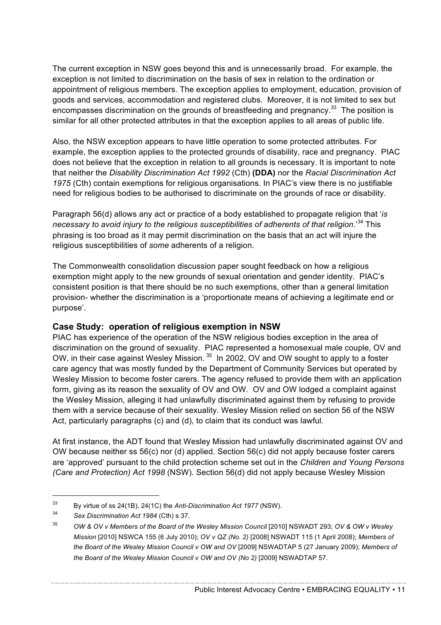The current exception in NSW goes beyond this and is unnecessarily broad. For example, the exception is not limited to discrimination on the basis of sex in relation to the ordination or appointment of religious members. The exception applies to employment, education, provision of goods and services, accommodation and registered clubs. Moreover, it is not limited to sex but encompasses discrimination on the grounds of breastfeeding and pregnancy. $33$  The position is similar for all other protected attributes in that the exception applies to all areas of public life.

Also, the NSW exception appears to have little operation to some protected attributes. For example, the exception applies to the protected grounds of disability, race and pregnancy. PIAC does not believe that the exception in relation to all grounds is necessary. It is important to note that neither the *Disability Discrimination Act 1992* (Cth) **(DDA)** nor the *Racial Discrimination Act 1975* (Cth) contain exemptions for religious organisations. In PIAC's view there is no justifiable need for religious bodies to be authorised to discriminate on the grounds of race or disability.

Paragraph 56(d) allows any act or practice of a body established to propagate religion that '*is necessary to avoid injury to the religious susceptibilities of adherents of that religion*.' <sup>34</sup> This phrasing is too broad as it may permit discrimination on the basis that an act will injure the religious susceptibilities of *some* adherents of a religion.

The Commonwealth consolidation discussion paper sought feedback on how a religious exemption might apply to the new grounds of sexual orientation and gender identity. PIAC's consistent position is that there should be no such exemptions, other than a general limitation provision- whether the discrimination is a 'proportionate means of achieving a legitimate end or purpose'.

#### **Case Study: operation of religious exemption in NSW**

PIAC has experience of the operation of the NSW religious bodies exception in the area of discrimination on the ground of sexuality. PIAC represented a homosexual male couple, OV and OW, in their case against Wesley Mission. <sup>35</sup> In 2002, OV and OW sought to apply to a foster care agency that was mostly funded by the Department of Community Services but operated by Wesley Mission to become foster carers. The agency refused to provide them with an application form, giving as its reason the sexuality of OV and OW. OV and OW lodged a complaint against the Wesley Mission, alleging it had unlawfully discriminated against them by refusing to provide them with a service because of their sexuality. Wesley Mission relied on section 56 of the NSW Act, particularly paragraphs (c) and (d), to claim that its conduct was lawful.

At first instance, the ADT found that Wesley Mission had unlawfully discriminated against OV and OW because neither ss 56(c) nor (d) applied. Section 56(c) did not apply because foster carers are 'approved' pursuant to the child protection scheme set out in the *Children and Young Persons (Care and Protection) Act 1998* (NSW). Section 56(d) did not apply because Wesley Mission

Public Interest Advocacy Centre • EMBRACING EQUALITY • 11

 <sup>33</sup> By virtue of ss 24(1B), 24(1C) the *Anti-Discrimination Act 1977* (NSW).

<sup>34</sup> *Sex Discrimination Act 1984* (Cth) s 37.

<sup>35</sup> *OW & OV v Members of the Board of the Wesley Mission Council* [2010] NSWADT 293; *OV & OW v Wesley Mission* [2010] NSWCA 155 (6 July 2010); *OV v QZ (No. 2)* [2008] NSWADT 115 (1 April 2008); *Members of the Board of the Wesley Mission Council v OW and OV* [2009] NSWADTAP 5 (27 January 2009); *Members of*  the Board of the Wesley Mission Council v OW and OV (No 2) [2009] NSWADTAP 57.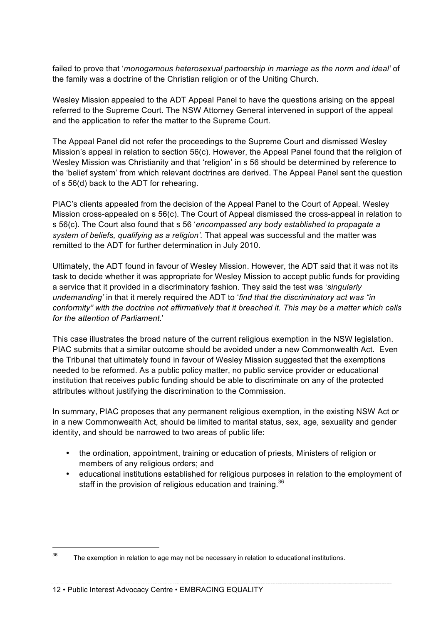failed to prove that '*monogamous heterosexual partnership in marriage as the norm and ideal'* of the family was a doctrine of the Christian religion or of the Uniting Church.

Wesley Mission appealed to the ADT Appeal Panel to have the questions arising on the appeal referred to the Supreme Court. The NSW Attorney General intervened in support of the appeal and the application to refer the matter to the Supreme Court.

The Appeal Panel did not refer the proceedings to the Supreme Court and dismissed Wesley Mission's appeal in relation to section 56(c). However, the Appeal Panel found that the religion of Wesley Mission was Christianity and that 'religion' in s 56 should be determined by reference to the 'belief system' from which relevant doctrines are derived. The Appeal Panel sent the question of s 56(d) back to the ADT for rehearing.

PIAC's clients appealed from the decision of the Appeal Panel to the Court of Appeal. Wesley Mission cross-appealed on s 56(c). The Court of Appeal dismissed the cross-appeal in relation to s 56(c). The Court also found that s 56 '*encompassed any body established to propagate a system of beliefs, qualifying as a religion'.* That appeal was successful and the matter was remitted to the ADT for further determination in July 2010.

Ultimately, the ADT found in favour of Wesley Mission. However, the ADT said that it was not its task to decide whether it was appropriate for Wesley Mission to accept public funds for providing a service that it provided in a discriminatory fashion. They said the test was '*singularly undemanding'* in that it merely required the ADT to '*find that the discriminatory act was "in conformity" with the doctrine not affirmatively that it breached it. This may be a matter which calls for the attention of Parliament*.'

This case illustrates the broad nature of the current religious exemption in the NSW legislation. PIAC submits that a similar outcome should be avoided under a new Commonwealth Act. Even the Tribunal that ultimately found in favour of Wesley Mission suggested that the exemptions needed to be reformed. As a public policy matter, no public service provider or educational institution that receives public funding should be able to discriminate on any of the protected attributes without justifying the discrimination to the Commission.

In summary, PIAC proposes that any permanent religious exemption, in the existing NSW Act or in a new Commonwealth Act, should be limited to marital status, sex, age, sexuality and gender identity, and should be narrowed to two areas of public life:

- the ordination, appointment, training or education of priests, Ministers of religion or members of any religious orders; and
- educational institutions established for religious purposes in relation to the employment of staff in the provision of religious education and training.<sup>36</sup>

 $36$  The exemption in relation to age may not be necessary in relation to educational institutions.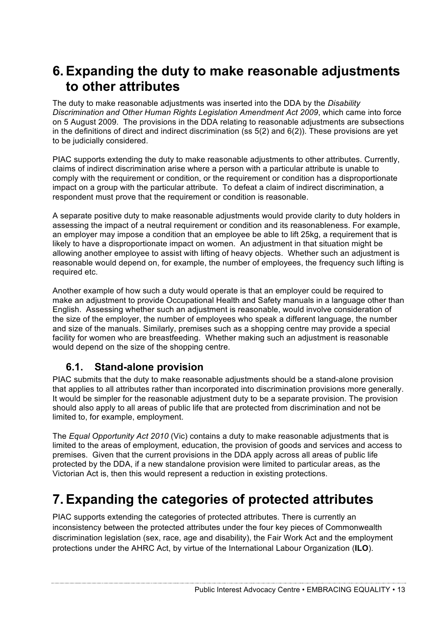### **6.Expanding the duty to make reasonable adjustments to other attributes**

The duty to make reasonable adjustments was inserted into the DDA by the *Disability Discrimination and Other Human Rights Legislation Amendment Act 2009*, which came into force on 5 August 2009. The provisions in the DDA relating to reasonable adjustments are subsections in the definitions of direct and indirect discrimination (ss 5(2) and 6(2)). These provisions are yet to be judicially considered.

PIAC supports extending the duty to make reasonable adjustments to other attributes. Currently, claims of indirect discrimination arise where a person with a particular attribute is unable to comply with the requirement or condition, or the requirement or condition has a disproportionate impact on a group with the particular attribute. To defeat a claim of indirect discrimination, a respondent must prove that the requirement or condition is reasonable.

A separate positive duty to make reasonable adjustments would provide clarity to duty holders in assessing the impact of a neutral requirement or condition and its reasonableness. For example, an employer may impose a condition that an employee be able to lift 25kg, a requirement that is likely to have a disproportionate impact on women. An adjustment in that situation might be allowing another employee to assist with lifting of heavy objects. Whether such an adjustment is reasonable would depend on, for example, the number of employees, the frequency such lifting is required etc.

Another example of how such a duty would operate is that an employer could be required to make an adjustment to provide Occupational Health and Safety manuals in a language other than English. Assessing whether such an adjustment is reasonable, would involve consideration of the size of the employer, the number of employees who speak a different language, the number and size of the manuals. Similarly, premises such as a shopping centre may provide a special facility for women who are breastfeeding. Whether making such an adjustment is reasonable would depend on the size of the shopping centre.

#### **6.1. Stand-alone provision**

PIAC submits that the duty to make reasonable adjustments should be a stand-alone provision that applies to all attributes rather than incorporated into discrimination provisions more generally. It would be simpler for the reasonable adjustment duty to be a separate provision. The provision should also apply to all areas of public life that are protected from discrimination and not be limited to, for example, employment.

The *Equal Opportunity Act 2010* (Vic) contains a duty to make reasonable adjustments that is limited to the areas of employment, education, the provision of goods and services and access to premises. Given that the current provisions in the DDA apply across all areas of public life protected by the DDA, if a new standalone provision were limited to particular areas, as the Victorian Act is, then this would represent a reduction in existing protections.

### **7.Expanding the categories of protected attributes**

PIAC supports extending the categories of protected attributes. There is currently an inconsistency between the protected attributes under the four key pieces of Commonwealth discrimination legislation (sex, race, age and disability), the Fair Work Act and the employment protections under the AHRC Act, by virtue of the International Labour Organization (**ILO**).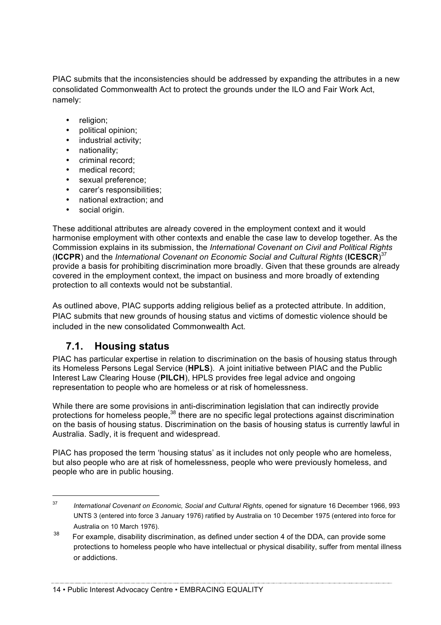PIAC submits that the inconsistencies should be addressed by expanding the attributes in a new consolidated Commonwealth Act to protect the grounds under the ILO and Fair Work Act, namely:

- religion:
- political opinion;
- industrial activity;
- nationality;
- criminal record;
- medical record;
- sexual preference;
- carer's responsibilities;
- national extraction; and
- social origin.

These additional attributes are already covered in the employment context and it would harmonise employment with other contexts and enable the case law to develop together. As the Commission explains in its submission, the *International Covenant on Civil and Political Rights* (**ICCPR**) and the *International Covenant on Economic Social and Cultural Rights* (**ICESCR**) 37 provide a basis for prohibiting discrimination more broadly. Given that these grounds are already covered in the employment context, the impact on business and more broadly of extending protection to all contexts would not be substantial.

As outlined above, PIAC supports adding religious belief as a protected attribute. In addition, PIAC submits that new grounds of housing status and victims of domestic violence should be included in the new consolidated Commonwealth Act.

#### **7.1. Housing status**

PIAC has particular expertise in relation to discrimination on the basis of housing status through its Homeless Persons Legal Service (**HPLS**). A joint initiative between PIAC and the Public Interest Law Clearing House (**PILCH**), HPLS provides free legal advice and ongoing representation to people who are homeless or at risk of homelessness.

While there are some provisions in anti-discrimination legislation that can indirectly provide protections for homeless people.<sup>38</sup> there are no specific legal protections against discrimination on the basis of housing status. Discrimination on the basis of housing status is currently lawful in Australia. Sadly, it is frequent and widespread.

PIAC has proposed the term 'housing status' as it includes not only people who are homeless, but also people who are at risk of homelessness, people who were previously homeless, and people who are in public housing.

 <sup>37</sup> *International Covenant on Economic, Social and Cultural Rights*, opened for signature 16 December 1966, 993 UNTS 3 (entered into force 3 January 1976) ratified by Australia on 10 December 1975 (entered into force for Australia on 10 March 1976).

 $38$  For example, disability discrimination, as defined under section 4 of the DDA, can provide some protections to homeless people who have intellectual or physical disability, suffer from mental illness or addictions.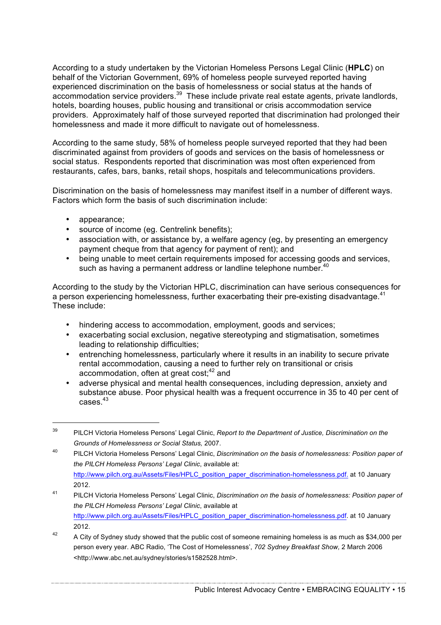According to a study undertaken by the Victorian Homeless Persons Legal Clinic (**HPLC**) on behalf of the Victorian Government, 69% of homeless people surveyed reported having experienced discrimination on the basis of homelessness or social status at the hands of accommodation service providers.39 These include private real estate agents, private landlords, hotels, boarding houses, public housing and transitional or crisis accommodation service providers. Approximately half of those surveyed reported that discrimination had prolonged their homelessness and made it more difficult to navigate out of homelessness.

According to the same study, 58% of homeless people surveyed reported that they had been discriminated against from providers of goods and services on the basis of homelessness or social status. Respondents reported that discrimination was most often experienced from restaurants, cafes, bars, banks, retail shops, hospitals and telecommunications providers.

Discrimination on the basis of homelessness may manifest itself in a number of different ways. Factors which form the basis of such discrimination include:

- appearance;
- source of income (eg. Centrelink benefits);
- association with, or assistance by, a welfare agency (eg, by presenting an emergency payment cheque from that agency for payment of rent); and
- being unable to meet certain requirements imposed for accessing goods and services, such as having a permanent address or landline telephone number.<sup>40</sup>

According to the study by the Victorian HPLC, discrimination can have serious consequences for a person experiencing homelessness, further exacerbating their pre-existing disadvantage.<sup>41</sup> These include:

- hindering access to accommodation, employment, goods and services;
- exacerbating social exclusion, negative stereotyping and stigmatisation, sometimes leading to relationship difficulties;
- entrenching homelessness, particularly where it results in an inability to secure private rental accommodation, causing a need to further rely on transitional or crisis accommodation, often at great cost;<sup>42</sup> and
- adverse physical and mental health consequences, including depression, anxiety and substance abuse. Poor physical health was a frequent occurrence in 35 to 40 per cent of cases.43

 <sup>39</sup> PILCH Victoria Homeless Persons' Legal Clinic, *Report to the Department of Justice, Discrimination on the Grounds of Homelessness or Social Status,* 2007.

<sup>40</sup> PILCH Victoria Homeless Persons' Legal Clinic, *Discrimination on the basis of homelessness: Position paper of the PILCH Homeless Persons' Legal Clinic*, available at: http://www.pilch.org.au/Assets/Files/HPLC\_position\_paper\_discrimination-homelessness.pdf. at 10 January 2012.

<sup>41</sup> PILCH Victoria Homeless Persons' Legal Clinic, *Discrimination on the basis of homelessness: Position paper of the PILCH Homeless Persons' Legal Clinic*, available at http://www.pilch.org.au/Assets/Files/HPLC\_position\_paper\_discrimination-homelessness.pdf. at 10 January 2012.

<sup>&</sup>lt;sup>42</sup> A City of Sydney study showed that the public cost of someone remaining homeless is as much as \$34,000 per person every year. ABC Radio, 'The Cost of Homelessness', *702 Sydney Breakfast Show,* 2 March 2006 <http://www.abc.net.au/sydney/stories/s1582528.html>.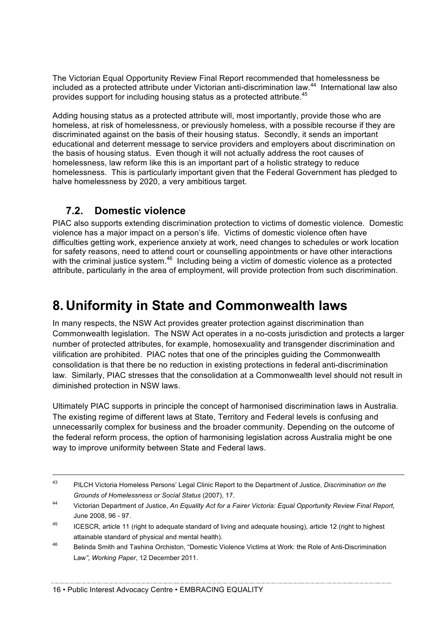The Victorian Equal Opportunity Review Final Report recommended that homelessness be included as a protected attribute under Victorian anti-discrimination law. 44 International law also provides support for including housing status as a protected attribute.<sup>45</sup>

Adding housing status as a protected attribute will, most importantly, provide those who are homeless, at risk of homelessness, or previously homeless, with a possible recourse if they are discriminated against on the basis of their housing status. Secondly, it sends an important educational and deterrent message to service providers and employers about discrimination on the basis of housing status. Even though it will not actually address the root causes of homelessness, law reform like this is an important part of a holistic strategy to reduce homelessness. This is particularly important given that the Federal Government has pledged to halve homelessness by 2020, a very ambitious target.

#### **7.2. Domestic violence**

PIAC also supports extending discrimination protection to victims of domestic violence. Domestic violence has a major impact on a person's life. Victims of domestic violence often have difficulties getting work, experience anxiety at work, need changes to schedules or work location for safety reasons, need to attend court or counselling appointments or have other interactions with the criminal justice system. $46$  Including being a victim of domestic violence as a protected attribute, particularly in the area of employment, will provide protection from such discrimination.

### **8. Uniformity in State and Commonwealth laws**

In many respects, the NSW Act provides greater protection against discrimination than Commonwealth legislation. The NSW Act operates in a no-costs jurisdiction and protects a larger number of protected attributes, for example, homosexuality and transgender discrimination and vilification are prohibited. PIAC notes that one of the principles guiding the Commonwealth consolidation is that there be no reduction in existing protections in federal anti-discrimination law. Similarly, PIAC stresses that the consolidation at a Commonwealth level should not result in diminished protection in NSW laws.

Ultimately PIAC supports in principle the concept of harmonised discrimination laws in Australia. The existing regime of different laws at State, Territory and Federal levels is confusing and unnecessarily complex for business and the broader community. Depending on the outcome of the federal reform process, the option of harmonising legislation across Australia might be one way to improve uniformity between State and Federal laws.

 <sup>43</sup> PILCH Victoria Homeless Persons' Legal Clinic Report to the Department of Justice, *Discrimination on the Grounds of Homelessness or Social Status* (2007), 17.

<sup>44</sup> Victorian Department of Justice, *An Equality Act for a Fairer Victoria: Equal Opportunity Review Final Report*, June 2008, 96 - 97.

<sup>&</sup>lt;sup>45</sup> ICESCR, article 11 (right to adequate standard of living and adequate housing), article 12 (right to highest attainable standard of physical and mental health).

<sup>46</sup> Belinda Smith and Tashina Orchiston, "Domestic Violence Victims at Work: the Role of Anti-Discrimination Law*"*, *Working Paper*, 12 December 2011.